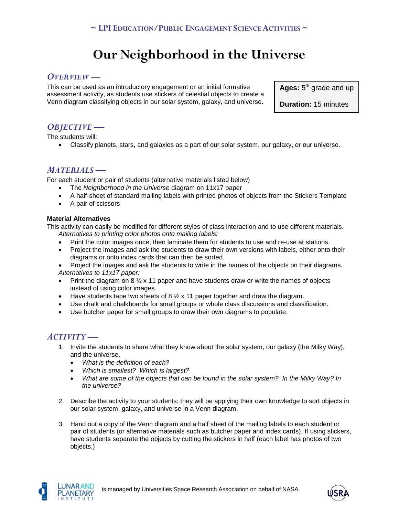# **Our Neighborhood in the Universe**

# *OVERVIEW —*

This can be used as an introductory engagement or an initial formative assessment activity, as students use stickers of celestial objects to create a Venn diagram classifying objects in our solar system, galaxy, and universe.

Ages: 5<sup>th</sup> grade and up

**Duration:** 15 minutes

# *OBJECTIVE —*

The students will:

• Classify planets, stars, and galaxies as a part of our solar system, our galaxy, or our universe.

# *MATERIALS —*

For each student or pair of students (alternative materials listed below)

- The *Neighborhood in the Universe* diagram on 11x17 paper
- A half-sheet of standard mailing labels with printed photos of objects from the Stickers Template
- A pair of scissors

### **Material Alternatives**

This activity can easily be modified for different styles of class interaction and to use different materials. *Alternatives to printing color photos onto mailing labels:*

- Print the color images once, then laminate them for students to use and re-use at stations.
- Project the images and ask the students to draw their own versions with labels, either onto their diagrams or onto index cards that can then be sorted.
- Project the images and ask the students to write in the names of the objects on their diagrams. *Alternatives to 11x17 paper:*
- Print the diagram on 8  $\frac{1}{2}$  x 11 paper and have students draw or write the names of objects instead of using color images.
- Have students tape two sheets of 8  $\frac{1}{2}$  x 11 paper together and draw the diagram.
- Use chalk and chalkboards for small groups or whole class discussions and classification.
- Use butcher paper for small groups to draw their own diagrams to populate.

# *ACTIVITY —*

- 1. Invite the students to share what they know about the solar system, our galaxy (the Milky Way), and the universe.
	- *What is the definition of each?*
	- *Which is smallest? Which is largest?*
	- *What are some of the objects that can be found in the solar system? In the Milky Way? In the universe?*
- 2. Describe the activity to your students: they will be applying their own knowledge to sort objects in our solar system, galaxy, and universe in a Venn diagram.
- 3. Hand out a copy of the Venn diagram and a half sheet of the mailing labels to each student or pair of students (or alternative materials such as butcher paper and index cards). If using stickers, have students separate the objects by cutting the stickers in half (each label has photos of two objects.)



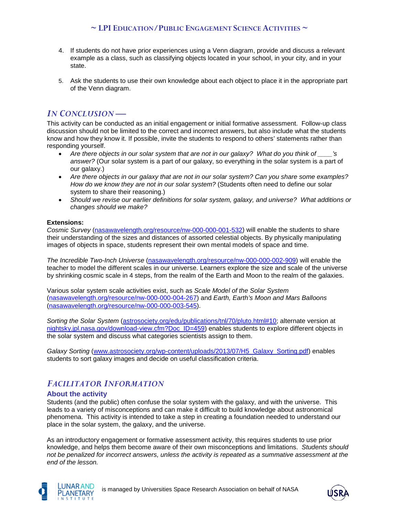## **~ LPI EDUCATION/PUBLIC ENGAGEMENT SCIENCE ACTIVITIES ~**

- 4. If students do not have prior experiences using a Venn diagram, provide and discuss a relevant example as a class, such as classifying objects located in your school, in your city, and in your state.
- 5. Ask the students to use their own knowledge about each object to place it in the appropriate part of the Venn diagram.

# *IN CONCLUSION —*

This activity can be conducted as an initial engagement or initial formative assessment. Follow-up class discussion should not be limited to the correct and incorrect answers, but also include what the students know and how they know it. If possible, invite the students to respond to others' statements rather than responding yourself.

- *Are there objects in our solar system that are not in our galaxy? What do you think of \_\_\_\_'s answer?* (Our solar system is a part of our galaxy, so everything in the solar system is a part of our galaxy.)
- *Are there objects in our galaxy that are not in our solar system? Can you share some examples? How do we know they are not in our solar system?* (Students often need to define our solar system to share their reasoning.)
- *Should we revise our earlier definitions for solar system, galaxy, and universe? What additions or changes should we make?*

### **Extensions:**

*Cosmic Survey* [\(nasawavelength.org/resource/nw-000-000-001-532\)](http://nasawavelength.org/resource/nw-000-000-001-532) will enable the students to share their understanding of the sizes and distances of assorted celestial objects. By physically manipulating images of objects in space, students represent their own mental models of space and time.

*The Incredible Two-Inch Universe* [\(nasawavelength.org/resource/nw-000-000-002-909\)](http://nasawavelength.org/resource/nw-000-000-002-909) will enable the teacher to model the different scales in our universe. Learners explore the size and scale of the universe by shrinking cosmic scale in 4 steps, from the realm of the Earth and Moon to the realm of the galaxies.

Various solar system scale activities exist, such as *Scale Model of the Solar System*  [\(nasawavelength.org/resource/nw-000-000-004-267\)](http://nasawavelength.org/resource/nw-000-000-004-267/) and *Earth, Earth's Moon and Mars Balloons* [\(nasawavelength.org/resource/nw-000-000-003-545\)](http://nasawavelength.org/resource/nw-000-000-003-545/).

*Sorting the Solar System* [\(astrosociety.org/edu/publications/tnl/70/pluto.html#10;](https://astrosociety.org/edu/publications/tnl/70/pluto.html#10) alternate version at [nightsky.jpl.nasa.gov/download-view.cfm?Doc\\_ID=459\)](https://nightsky.jpl.nasa.gov/download-view.cfm?Doc_ID=459) enables students to explore different objects in the solar system and discuss what categories scientists assign to them.

*Galaxy Sorting* [\(www.astrosociety.org/wp-content/uploads/2013/07/H5\\_Galaxy\\_Sorting.pdf\)](http://www.astrosociety.org/wp-content/uploads/2013/07/H5_Galaxy_Sorting.pdf) enables students to sort galaxy images and decide on useful classification criteria.

# *FACILITATOR INFORMATION*

### **About the activity**

Students (and the public) often confuse the solar system with the galaxy, and with the universe. This leads to a variety of misconceptions and can make it difficult to build knowledge about astronomical phenomena. This activity is intended to take a step in creating a foundation needed to understand our place in the solar system, the galaxy, and the universe.

As an introductory engagement or formative assessment activity, this requires students to use prior knowledge, and helps them become aware of their own misconceptions and limitations. *Students should not be penalized for incorrect answers, unless the activity is repeated as a summative assessment at the end of the lesson.*



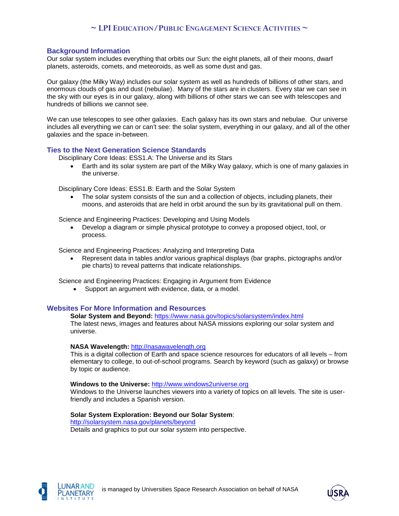# **~ LPI EDUCATION/PUBLIC ENGAGEMENT SCIENCE ACTIVITIES ~**

### **Background Information**

Our solar system includes everything that orbits our Sun: the eight planets, all of their moons, dwarf planets, asteroids, comets, and meteoroids, as well as some dust and gas.

Our galaxy (the Milky Way) includes our solar system as well as hundreds of billions of other stars, and enormous clouds of gas and dust (nebulae). Many of the stars are in clusters. Every star we can see in the sky with our eyes is in our galaxy, along with billions of other stars we can see with telescopes and hundreds of billions we cannot see.

We can use telescopes to see other galaxies. Each galaxy has its own stars and nebulae. Our universe includes all everything we can or can't see: the solar system, everything in our galaxy, and all of the other galaxies and the space in-between.

#### **Ties to the Next Generation Science Standards**

Disciplinary Core Ideas: ESS1.A: The Universe and its Stars

• Earth and its solar system are part of the Milky Way galaxy, which is one of many galaxies in the universe.

Disciplinary Core Ideas: ESS1.B: Earth and the Solar System

• The solar system consists of the sun and a collection of objects, including planets, their moons, and asteroids that are held in orbit around the sun by its gravitational pull on them.

Science and Engineering Practices: Developing and Using Models

• Develop a diagram or simple physical prototype to convey a proposed object, tool, or process.

Science and Engineering Practices: Analyzing and Interpreting Data

• Represent data in tables and/or various graphical displays (bar graphs, pictographs and/or pie charts) to reveal patterns that indicate relationships.

Science and Engineering Practices: Engaging in Argument from Evidence

• Support an argument with evidence, data, or a model.

#### **Websites For More Information and Resources**

**Solar System and Beyond:** <https://www.nasa.gov/topics/solarsystem/index.html> The latest news, images and features about NASA missions exploring our solar system and universe.

#### **NASA Wavelength:** [http://nasawavelength.org](http://nasawavelength.org/)

This is a digital collection of Earth and space science resources for educators of all levels – from elementary to college, to out-of-school programs. Search by keyword (such as galaxy) or browse by topic or audience.

#### **Windows to the Universe:** [http://www.windows2universe.org](http://www.windows2universe.org/Sun/Sun.html)

Windows to the Universe launches viewers into a variety of topics on all levels. The site is userfriendly and includes a Spanish version.

#### **Solar System Exploration: Beyond our Solar System**:

<http://solarsystem.nasa.gov/planets/beyond>

Details and graphics to put our solar system into perspective.



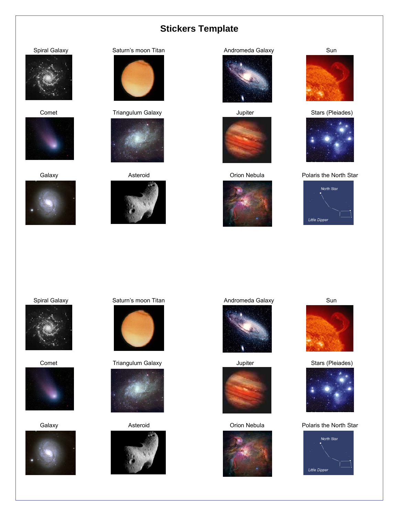# **Stickers Template**











Comet Triangulum Galaxy Jupiter Jupiter Stars (Pleiades)





















#### Galaxy **Asteroid** Asteroid Corion Nebula Polaris the North Star











#### Spiral Galaxy **Saturn's moon Titan Saturn's moon Titan** Andromeda Galaxy Sun



Comet Triangulum Galaxy Jupiter Jupiter Stars (Pleiades)



















#### Galaxy **Asteroid** Asteroid Corion Nebula Polaris the North Star